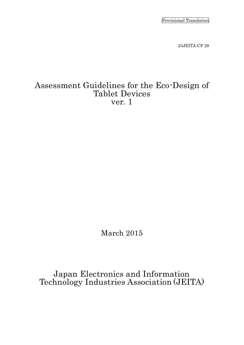Provisional Translation

25JEITA-CP 28

# Assessment Guidelines for the Eco-Design of Tablet Devices ver. 1

March 2015

Japan Electronics and Information Technology Industries Association (JEITA)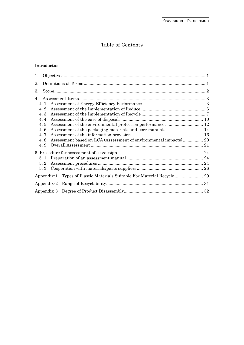# Table of Contents

# Introduction

| 1.               |                                                                         |  |  |  |  |  |
|------------------|-------------------------------------------------------------------------|--|--|--|--|--|
| 2.               |                                                                         |  |  |  |  |  |
| 3.               |                                                                         |  |  |  |  |  |
| $\overline{4}$ . |                                                                         |  |  |  |  |  |
|                  | 4.1<br>4.2                                                              |  |  |  |  |  |
|                  | 4.3                                                                     |  |  |  |  |  |
|                  | 4.4                                                                     |  |  |  |  |  |
|                  | 4.5                                                                     |  |  |  |  |  |
|                  | 4.6                                                                     |  |  |  |  |  |
|                  | 4.7                                                                     |  |  |  |  |  |
|                  | Assessment based on LCA (Assessment of environmental impacts) 20<br>4.8 |  |  |  |  |  |
|                  | 4.9                                                                     |  |  |  |  |  |
|                  |                                                                         |  |  |  |  |  |
| 5.1              |                                                                         |  |  |  |  |  |
|                  | ${\bf Assessment \ procedures \ }24$<br>5.2                             |  |  |  |  |  |
|                  | 5.3                                                                     |  |  |  |  |  |
|                  |                                                                         |  |  |  |  |  |
|                  |                                                                         |  |  |  |  |  |
|                  |                                                                         |  |  |  |  |  |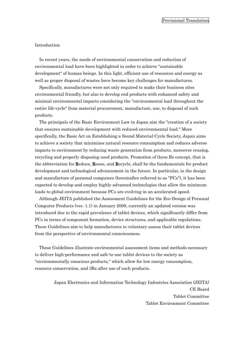#### Introduction

In recent years, the needs of environmental conservation and reduction of environmental load have been highlighted in order to achieve "sustainable development" of human beings. In this light, efficient use of resources and energy as well as proper disposal of wastes have become key challenges for manufactures.

Specifically, manufactures were not only required to make their business sites environmental friendly, but also to develop end products with enhanced safety and minimal environmental impacts considering the "environmental load throughout the entire life-cycle" from material procurement, manufacture, use, to disposal of such products.

The principals of the Basic Environment Law in Japan aim the "creation of a society that ensures sustainable development with reduced environmental load." More specifically, the Basic Act on Establishing a Sound Material-Cycle Society, Japan aims to achieve a society that minimizes natural resource consumption and reduces adverse impacts to environment by reducing waste generation from products, moreover reusing, recycling and properly disposing used products. Promotion of three Rs concept, that is the abbreviation for Reduce, Reuse, and Recycle, shall be the fundamentals for product development and technological advancement in the future. In particular, in the design and manufacture of personal computers (hereinafter referred to as "PCs"), it has been expected to develop and employ highly advanced technologies that allow the minimum loads to global environment because PCs are evolving in an accelerated speed.

Although JEITA published the Assessment Guidelines for the Eco-Design of Personal Computer Products (ver. 1.1) in January 2009, currently an updated version was introduced due to the rapid prevalence of tablet devices, which significantly differ from PCs in terms of component formation, device structures, and applicable regulations. These Guidelines aim to help manufactures to voluntary assess their tablet devices from the perspective of environmental consciousness.

These Guidelines illustrate environmental assessment items and methods necessary to deliver high-performance and safe-to-use tablet devices to the society as "environmentally conscious products," which allow for low energy consumption, resource conservation, and 3Rs after use of such products.

> Japan Electronics and Information Technology Industries Association (JEITA) CE Board Tablet Committee Tablet Environment Committee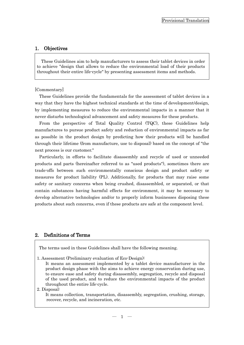# <span id="page-3-0"></span>1. Objectives

These Guidelines aim to help manufacturers to assess their tablet devices in order to achieve "design that allows to reduce the environmental load of their products throughout their entire life-cycle" by presenting assessment items and methods.

#### [Commentary]

These Guidelines provide the fundamentals for the assessment of tablet devices in a way that they have the highest technical standards at the time of development/design, by implementing measures to reduce the environmental impacts in a manner that it never disturbs technological advancement and safety measures for these products.

From the perspective of Total Quality Control (TQC), these Guidelines help manufactures to pursue product safety and reduction of environmental impacts as far as possible in the product design by predicting how their products will be handled through their lifetime (from manufacture, use to disposal) based on the concept of "the next process is our customer."

Particularly, in efforts to facilitate disassembly and recycle of used or unneeded products and parts (hereinafter referred to as "used products"), sometimes there are trade-offs between such environmentally conscious design and product safety or measures for product liability (PL). Additionally, for products that may raise some safety or sanitary concerns when being crushed, disassembled, or separated, or that contain substances having harmful effects for environment, it may be necessary to develop alternative technologies and/or to properly inform businesses disposing these products about such concerns, even if these products are safe at the component level.

# <span id="page-3-1"></span>2. Definitions of Terms

The terms used in these Guidelines shall have the following meaning.

1. Assessment (Preliminary evaluation of Eco-Design):

It means an assessment implemented by a tablet device manufacturer in the product design phase with the aims to achieve energy conservation during use, to ensure ease and safety during disassembly, segregation, recycle and disposal of the used product, and to reduce the environmental impacts of the product throughout the entire life-cycle.

#### 2. Disposal:

It means collection, transportation, disassembly, segregation, crushing, storage, recover, recycle, and incineration, etc.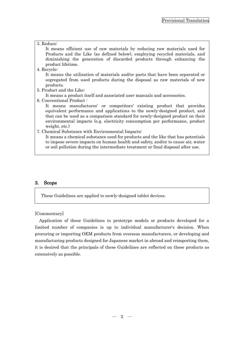### 3. Reduce:

It means efficient use of raw materials by reducing raw materials used for Products and the Like (as defined below), employing recycled materials, and diminishing the generation of discarded products through enhancing the product lifetime.

4. Recycle:

It means the utilization of materials and/or parts that have been separated or segregated from used products during the disposal as raw materials of new products.

5. Product and the Like:

It means a product itself and associated user manuals and accessories.

6. Conventional Product :

It means manufactures' or competitors' existing product that provides equivalent performance and applications to the newly-designed product, and that can be used as a comparison standard for newly-designed product on their environmental impacts (e.g. electricity consumption per performance, product weight, etc.)

7. Chemical Substance with Environmental Impacts:

It means a chemical substance used for products and the like that has potentials to impose severe impacts on human health and safety, and/or to cause air, water or soil pollution during the intermediate treatment or final disposal after use.

# <span id="page-4-0"></span>3. Scope

These Guidelines are applied to newly-designed tablet devices.

[Commentary]

Application of these Guidelines to prototype models or products developed for a limited number of companies is up to individual manufacturer's decision. When procuring or importing OEM products from overseas manufacturers, or developing and manufacturing products designed for Japanese market in abroad and reimporting them, it is desired that the principals of these Guidelines are reflected on these products as extensively as possible.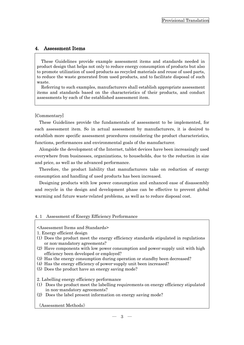# <span id="page-5-0"></span>4. Assessment Items

These Guidelines provide example assessment items and standards needed in product design that helps not only to reduce energy consumption of products but also to promote utilization of used products as recycled materials and reuse of used parts, to reduce the waste generated from used products, and to facilitate disposal of such waste.

Referring to such examples, manufacturers shall establish appropriate assessment items and standards based on the characteristics of their products, and conduct assessments by each of the established assessment item.

# [Commentary]

These Guidelines provide the fundamentals of assessment to be implemented, for each assessment item. So in actual assessment by manufacturers, it is desired to establish more specific assessment procedures considering the product characteristics, functions, performances and environmental goals of the manufacturer.

Alongside the development of the Internet, tablet devices have been increasingly used everywhere from businesses, organizations, to households, due to the reduction in size and price, as well as the advanced performance.

Therefore, the product liability that manufacturers take on reduction of energy consumption and handling of used products has been increased.

Designing products with low power consumption and enhanced ease of disassembly and recycle in the design and development phase can be effective to prevent global warming and future waste-related problems, as well as to reduce disposal cost.

# <span id="page-5-1"></span>4. 1 Assessment of Energy Efficiency Performance

# <Assessment Items and Standards>

1. Energy efficient design

- (1) Does the product meet the energy efficiency standards stipulated in regulations or non-mandatory agreements?
- (2) Have components with low power consumption and power-supply unit with high efficiency been developed or employed?
- (3) Has the energy consumption during operation or standby been decreased?
- (4) Has the energy efficiency of power-supply unit been increased?
- (5) Does the product have an energy saving mode?

2. Labelling energy efficiency performance

- (1) Does the product meet the labelling requirements on energy efficiency stipulated in non-mandatory agreements?
- (2) Does the label present information on energy saving mode?

《Assessment Methods》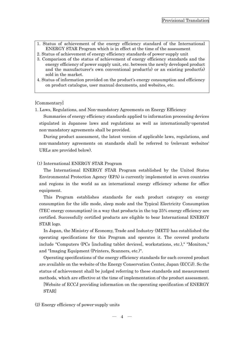- 1. Status of achievement of the energy efficiency standard of the International ENERGY STAR Program which is in effect at the time of the assessment
- 2. Status of achievement of energy efficiency standards of power-supply unit
- 3. Comparison of the status of achievement of energy efficiency standards and the energy efficiency of power supply unit, etc. between the newly developed product and the manufacturer's own conventional product(s) or an existing product(s) sold in the market.
- 4. Status of information provided on the product's energy consumption and efficiency on product catalogue, user manual documents, and websites, etc.

### [Commentary]

1. Laws, Regulations, and Non-mandatory Agreements on Energy Efficiency

Summaries of energy efficiency standards applied to information processing devices stipulated in Japanese laws and regulations as well as internationally-operated non-mandatory agreements shall be provided.

During product assessment, the latest version of applicable laws, regulations, and non-mandatory agreements on standards shall be referred to (relevant websites' URLs are provided below).

### (1) International ENERGY STAR Program

The International ENERGY STAR Program established by the United States Environmental Protection Agency (EPA) is currently implemented in seven countries and regions in the world as an international energy efficiency scheme for office equipment.

This Program establishes standards for each product category on energy consumption for the idle mode, sleep mode and the Typical Electricity Consumption (TEC energy consumption) in a way that products in the top 25% energy efficiency are certified. Successfully certified products are eligible to bear International ENERGY STAR logo.

In Japan, the Ministry of Economy, Trade and Industry (METI) has established the operating specifications for this Program and operates it. The covered products include "Computers (PCs [including tablet devices], workstations, etc.)," "Monitors," and "Imaging Equipment (Printers, Scanners, etc.)".

Operating specifications of the energy efficiency standards for each covered product are available on the website of the Energy Conservation Center, Japan (ECCJ). So the status of achievement shall be judged referring to these standards and measurement methods, which are effective at the time of implementation of the product assessment.

[Website of ECCJ providing information on the operating specification of ENERGY STAR]

(2) Energy efficiency of power-supply units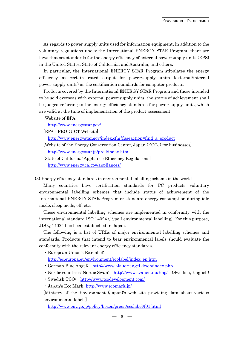As regards to power-supply units used for information equipment, in addition to the voluntary regulations under the International ENERGY STAR Program, there are laws that set standards for the energy efficiency of external power-supply units (EPS) in the United States, State of California, and Australia, and others.

In particular, the International ENERGY STAR Program stipulates the energy efficiency at certain rated output for power-supply units (external/internal power-supply units) as the certification standards for computer products.

Products covered by the International ENERGY STAR Program and those intended to be sold overseas with external power-supply units, the status of achievement shall be judged referring to the energy efficiency standards for power-supply units, which are valid at the time of implementation of the product assessment

[Website of EPA]

<http://www.energystar.gov/>

[EPA's PRODUCT Website]

[http://www.energystar.gov/index.cfm?fuseaction=find\\_a\\_product](http://www.energystar.gov/index.cfm?fuseaction=find_a_product)

[Website of the Energy Conservation Center, Japan (ECCJ) for businesses] <http://www.energystar.jp/prod/index.html>

[State of California: Appliance Efficiency Regulations] <http://www.energy.ca.gov/appliances/>

(3) Energy efficiency standards in environmental labelling scheme in the world

Many countries have certification standards for PC products voluntary environmental labelling schemes that include status of achievement of the International ENERGY STAR Program or standard energy consumption during idle mode, sleep mode, off, etc.

These environmental labelling schemes are implemented in conformity with the international standard ISO 14024 (Type I environmental labelling). For this purpose, JIS Q 14024 has been established in Japan.

The following is a list of URLs of major environmental labelling schemes and standards. Products that intend to bear environmental labels should evaluate the conformity with the relevant energy efficiency standards.

・European Union's Eco-label:

[http://ec.europa.eu/environment/ecolabel/index\\_en.htm](http://ec.europa.eu/environment/ecolabel/index_en.htm)

- · German Blue Angel: <http://www.blauer-engel.de/en/index.php>
- ・Nordic countries' Nordic Swan: <http://www.svanen.nu/Eng/> (Swedish, English)
- ・Swedish TCO: <http://www.tcodevelopment.com/>
- ・Japan's Eco Mark:<http://www.ecomark.jp/>

[Ministry of the Environment (Japan)'s web site providing data about various environmental labels]

<http://www.env.go.jp/policy/hozen/green/ecolabel/f01.html>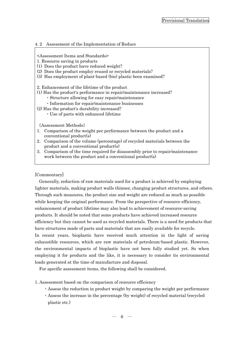# <span id="page-8-0"></span>4. 2 Assessment of the Implementation of Reduce

# <Assessment Items and Standards>

- 1. Resource saving in products
- (1) Does the product have reduced weight?
- (2) Does the product employ reused or recycled materials?
- (3) Has employment of plant-based (bio) plastic been examined?

2. Enhancement of the lifetime of the product

- (1) Has the product's performance in repair/maintenance increased?
	- ・Structure allowing for easy repair/maintenance
	- ・Information for repair/maintenance businesses
- (2) Has the product's durability increased?
	- ・Use of parts with enhanced lifetime

《Assessment Methods》

- 1. Comparison of the weight per performance between the product and a conventional product(s)
- 2. Comparison of the volume (percentage) of recycled materials between the product and a conventional product(s)
- 3. Comparison of the time required for disassembly prior to repair/maintenance work between the product and a conventional product(s)

# [Commentary]

Generally, reduction of raw materials used for a product is achieved by employing lighter materials, making product walls thinner, changing product structures, and others. Through such measures, the product size and weight are reduced as much as possible while keeping the original performance. From the perspective of resource efficiency, enhancement of product lifetime may also lead to achievement of resource-saving products. It should be noted that some products have achieved increased resource efficiency but they cannot be used as recycled materials. There is a need for products that have structures made of parts and materials that are easily available for recycle. In recent years, bioplastic have received much attention in the light of saving exhaustible resources, which are raw materials of petroleum-based plastic. However, the environmental impacts of bioplastic have not been fully studied yet. So when employing it for products and the like, it is necessary to consider its environmental loads generated at the time of manufacture and disposal.

For specific assessment items, the following shall be considered.

- 1. Assessment based on the comparison of resource efficiency
	- ・Assess the reduction in product weight by comparing the weight per performance
	- ・Assess the increase in the percentage (by weight) of recycled material (recycled plastic etc.)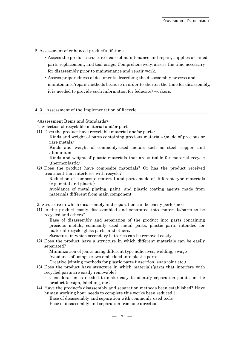- 2. Assessment of enhanced product's lifetime
	- ・Assess the product structure's ease of maintenance and repair, supplies or failed parts replacement, and tool usage. Comprehensively, assess the time necessary for disassembly prior to maintenance and repair work.
	- ・Assess preparedness of documents describing the disassembly process and maintenance/repair methods because in order to shorten the time for disassembly, it is needed to provide such information for (educate) workers.

### <span id="page-9-0"></span>4. 3 Assessment of the Implementation of Recycle

<Assessment Items and Standards>

- 1. Selection of recyclable material and/or parts
- (1) Does the product have recyclable material and/or parts?
	- · Kinds and weight of parts containing precious materials (made of precious or rare metals)
	- Kinds and weight of commonly-used metals such as steel, copper, and aluminium
	- · Kinds and weight of plastic materials that are suitable for material recycle (thermoplastic)
- (2) Does the product have composite materials? Or has the product received treatment that interferes with recycle?
	- Reduction of composite material and parts made of different type materials (e.g. metal and plastic)
	- · Avoidance of metal plating, paint, and plastic coating agents made from materials different from main component
- 2. Structure in which disassembly and separation can be easily performed
- (1) Is the product easily disassembled and separated into materials/parts to be recycled and others?
	- · Ease of disassembly and separation of the product into parts containing precious metals, commonly used metal parts, plastic parts intended for material recycle, glass parts, and others.
	- · Structure in which secondary batteries can be removed easily
- (2) Does the product have a structure in which different materials can be easily separated?
	- · Minimization of joints using different type adhesives, welding, swage
	- · Avoidance of using screws embedded into plastic parts
	- · Creative jointing methods for plastic parts (insertion, snap joint etc.)
- (3) Does the product have structure in which materials/parts that interfere with recycled parts are easily removable?
	- · Consideration is needed to make easy to identify separation points on the product (design, labelling, etc )
- (4) Have the product's disassembly and separation methods been established? Have human working hour needs to complete this works been reduced ?
	- Ease of disassembly and separation with commonly used tools
	- Ease of disassembly and separation from one direction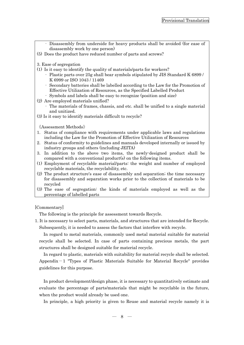- · Disassembly from underside for heavy products shall be avoided (for ease of disassembly work by one person)
- (5) Does the product have reduced number of parts and screws?

3. Ease of segregation

- (1) Is it easy to identify the quality of materials/parts for workers?
	- · Plastic parts over 25g shall bear symbols stipulated by JIS Standard K 6899 / K 6999 or ISO 1043 / 11469
	- · Secondary batteries shall be labelled according to the Law for the Promotion of Effective Utilization of Resources, as the Specified Labelled Product
	- Symbols and labels shall be easy to recognize (position and size)

(2) Are employed materials unified?

- · The materials of frames, chassis, and etc. shall be unified to a single material and unitized.
- (3) Is it easy to identify materials difficult to recycle?

《Assessment Methods》

- 1. Status of compliance with requirements under applicable laws and regulations including the Law for the Promotion of Effective Utilization of Resources
- 2. Status of conformity to guidelines and manuals developed internally or issued by industry groups and others (including JEITA)
- 3. In addition to the above two items, the newly-designed product shall be compared with a conventional product(s) on the following items.
- (1) Employment of recyclable material/parts: the weight and number of employed recyclable materials, the recyclability, etc.
- (2) The product structure's ease of disassembly and separation; the time necessary for disassembly and separation works prior to the collection of materials to be recycled
- (3) The ease of segregation: the kinds of materials employed as well as the percentage of labelled parts

# [Commentary]

The following is the principle for assessment towards Recycle.

1. It is necessary to select parts, materials, and structures that are intended for Recycle. Subsequently, it is needed to assess the factors that interfere with recycle.

In regard to metal materials, commonly used metal material suitable for material recycle shall be selected. In case of parts containing precious metals, the part structures shall be designed suitable for material recycle.

In regard to plastic, materials with suitability for material recycle shall be selected. Appendix $-1$  "Types of Plastic Materials Suitable for Material Recycle" provides guidelines for this purpose.

In product development/design phase, it is necessary to quantitatively estimate and evaluate the percentage of parts/materials that might be recyclable in the future, when the product would already be used one.

In principle, a high priority is given to Reuse and material recycle namely it is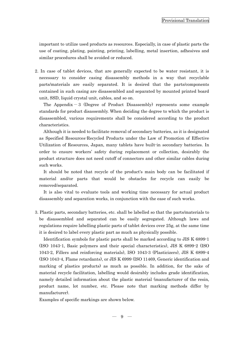important to utilize used products as resources. Especially, in case of plastic parts the use of coating, plating, painting, printing, labelling, metal insertion, adhesives and similar procedures shall be avoided or reduced.

2. In case of tablet devices, that are generally expected to be water resistant, it is necessary to consider casing disassembly methods in a way that recyclable parts/materials are easily separated. It is desired that the parts/components contained in such casing are disassembled and separated by mounted printed board unit, SSD, liquid crystal unit, cables, and so on.

The Appendix  $-3$  (Degree of Product Disassembly) represents some example standards for product disassembly. When deciding the degree to which the product is disassembled, various requirements shall be considered according to the product characteristics.

Although it is needed to facilitate removal of secondary batteries, as it is designated as Specified Resources-Recycled Products under the Law of Promotion of Effective Utilization of Resources, Japan, many tablets have built-in secondary batteries. In order to ensure workers' safety during replacement or collection, desirably the product structure does not need cutoff of connectors and other similar cables during such works.

It should be noted that recycle of the product's main body can be facilitated if material and/or parts that would be obstacles for recycle can easily be removed/separated.

It is also vital to evaluate tools and working time necessary for actual product disassembly and separation works, in conjunction with the ease of such works.

3. Plastic parts, secondary batteries, etc. shall be labelled so that the parts/materials to be disassembled and separated can be easily segregated. Although laws and regulations require labelling plastic parts of tablet devices over 25g, at the same time it is desired to label every plastic part as much as physically possible.

Identification symbols for plastic parts shall be marked according to JIS K 6899-1 (ISO 1043-1, Basic polymers and their special characteristics), JIS K 6899-2 (ISO 1043-2, Fillers and reinforcing materials), ISO 1043-3 (Plasticizers), JIS K 6899-4 (ISO 1043-4, Flame retardants), or JIS K 6999 (ISO 11469, Generic identification and marking of plastics products) as much as possible. In addition, for the sake of material recycle facilitation, labelling would desirably includes grade identification, namely detailed information about the plastic material (manufacturer of the resin, product name, lot number, etc. Please note that marking methods differ by manufacturer).

Examples of specific markings are shown below.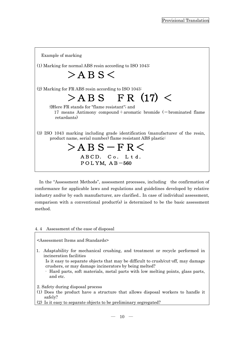Example of marking (1) Marking for normal ABS resin according to ISO 1043:  $>$ ABS $<$ (2) Marking for FR ABS resin according to ISO 1043:  $>ABS$  FR (17)  $<$  ※Here FR stands for "flame resistant"; and 17 means Antimony compound + aromatic bromide  $(=b$ rominated flame retardants) (3) ISO 1043 marking including grade identification (manufacturer of the resin, product name, serial number) flame resistant ABS plastic:  $>$ ABS-FR $<$ ABCD. Co. Ltd. POLYM,  $AB-560$ 

In the "Assessment Methods", assessment processes, including the confirmation of conformance for applicable laws and regulations and guidelines developed by relative industry and/or by each manufacturer, are clarified.. In case of individual assessment, comparison with a conventional product(s) is determined to be the basic assessment method.

# <span id="page-12-0"></span>4. 4 Assessment of the ease of disposal

### <Assessment Items and Standards>

1. Adaptability for mechanical crushing, and treatment or recycle performed in incineration facilities

Is it easy to separate objects that may be difficult to crush/cut-off, may damage crushers, or may damage incinerators by being melted?

- · Hard parts, soft materials, metal parts with low melting points, glass parts, and etc.
- 2. Safety during disposal process
- (1) Does the product have a structure that allows disposal workers to handle it safely?
- (2) Is it easy to separate objects to be preliminary segregated?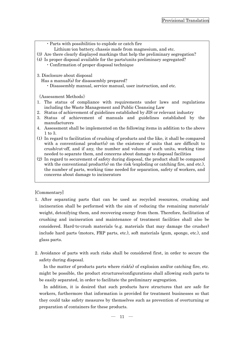| · Parts with possibilities to explode or catch fire                                      |  |  |  |  |  |
|------------------------------------------------------------------------------------------|--|--|--|--|--|
| Lithium ion battery, chassis made from magnesium, and etc.                               |  |  |  |  |  |
| (3) Are there clearly displayed markings that help the preliminary segregation?          |  |  |  |  |  |
| (4) Is proper disposal available for the parts/units preliminary segregated?             |  |  |  |  |  |
| • Confirmation of proper disposal technique                                              |  |  |  |  |  |
|                                                                                          |  |  |  |  |  |
| 3. Disclosure about disposal                                                             |  |  |  |  |  |
| Has a manual(s) for disassembly prepared?                                                |  |  |  |  |  |
| · Disassembly manual, service manual, user instruction, and etc.                         |  |  |  |  |  |
|                                                                                          |  |  |  |  |  |
| $\langle$ Assessment Methods $\rangle$                                                   |  |  |  |  |  |
| The status of compliance with requirements under laws and regulations<br>1.              |  |  |  |  |  |
| including the Waste Management and Public Cleansing Law                                  |  |  |  |  |  |
| Status of achievement of guidelines established by JIS or relevant industry<br>2.        |  |  |  |  |  |
|                                                                                          |  |  |  |  |  |
| Status of achievement of manuals and guidelines established by the<br>3.                 |  |  |  |  |  |
| manufacturers                                                                            |  |  |  |  |  |
| Assessment shall be implemented on the following items in addition to the above<br>4.    |  |  |  |  |  |
| $1 \text{ to } 3.$                                                                       |  |  |  |  |  |
| (1) In regard to facilitation of crushing of products and the like, it shall be compared |  |  |  |  |  |
| with a conventional product(s) on the existence of units that are difficult to           |  |  |  |  |  |
| crush/cut-off, and if any, the number and volume of such units, working time             |  |  |  |  |  |
| needed to separate them, and concerns about damage to disposal facilities                |  |  |  |  |  |
| (2) In regard to securement of safety during disposal, the product shall be compared     |  |  |  |  |  |
| with the conventional product(s) on the risk (exploding or catching fire, and etc.),     |  |  |  |  |  |
| the number of parts, working time needed for separation, safety of workers, and          |  |  |  |  |  |
| concerns about damage to incinerators                                                    |  |  |  |  |  |
|                                                                                          |  |  |  |  |  |
|                                                                                          |  |  |  |  |  |
|                                                                                          |  |  |  |  |  |

[Commentary]

- 1. After separating parts that can be used as recycled resources, crushing and incineration shall be performed with the aim of reducing the remaining materials' weight, detoxifying them, and recovering energy from them. Therefore, facilitation of crushing and incineration and maintenance of treatment facilities shall also be considered. Hard-to-crush materials (e.g. materials that may damage the crusher) include hard parts (motors, FRP parts, etc.), soft materials (gum, sponge, etc.), and glass parts.
- 2. Avoidance of parts with such risks shall be considered first, in order to secure the safety during disposal.

In the matter of products parts where risk(s) of explosion and/or catching fire, etc. might be possible, the product structures/configurations shall allowing such parts to be easily separated, in order to facilitate the preliminary segregation.

In addition, it is desired that such products have structures that are safe for workers, furthermore that information is provided for treatment businesses so that they could take safety measures by themselves such as prevention of overturning or preparation of containers for these products.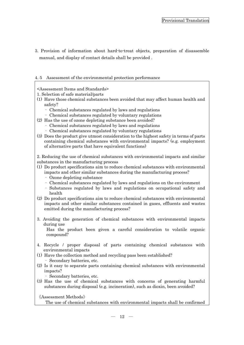3. Provision of information about hard-to-treat objects, preparation of disassemble manual, and display of contact details shall be provided .

# <span id="page-14-0"></span>4. 5 Assessment of the environmental protection performance

# <Assessment Items and Standards>

1. Selection of safe material/parts

- (1) Have those chemical substances been avoided that may affect human health and safety?
	- · Chemical substances regulated by laws and regulations
	- · Chemical substances regulated by voluntary regulations
- (2) Has the use of ozone depleting substance been avoided?
	- · Chemical substances regulated by laws and regulations
	- · Chemical substances regulated by voluntary regulations
- (3) Does the product give utmost consideration to the highest safety in terms of parts containing chemical substances with environmental impacts? (e.g. employment of alternative parts that have equivalent functions)

2. Reducing the use of chemical substances with environmental impacts and similar substances in the manufacturing process

- (1) Do product specifications aim to reduce chemical substances with environmental impacts and other similar substances during the manufacturing process?
	- · Ozone depleting substance
	- · Chemical substances regulated by laws and regulations on the environment
	- · Substances regulated by laws and regulations on occupational safety and health
- (2) Do product specifications aim to reduce chemical substances with environmental impacts and other similar substances contained in gases, effluents and wastes emitted during the manufacturing process?
- 3. Avoiding the generation of chemical substances with environmental impacts during use

Has the product been given a careful consideration to volatile organic compound?

- 4. Recycle / proper disposal of parts containing chemical substances with environmental impacts
- (1) Have the collection method and recycling pass been established? · Secondary batteries, etc.
- (2) Is it easy to separate parts containing chemical substances with environmental impacts?
	- · Secondary batteries, etc.
- (3) Has the use of chemical substances with concerns of generating harmful substances during disposal (e.g. incineration), such as dioxin, been avoided?

《Assessment Methods》

The use of chemical substances with environmental impacts shall be confirmed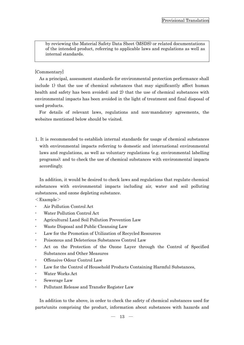by reviewing the Material Safety Data Sheet (MSDS) or related documentations of the intended product, referring to applicable laws and regulations as well as internal standards.

# [Commentary]

As a principal, assessment standards for environmental protection performance shall include 1) that the use of chemical substances that may significantly affect human health and safety has been avoided; and 2) that the use of chemical substances with environmental impacts has been avoided in the light of treatment and final disposal of used products.

For details of relevant laws, regulations and non-mandatory agreements, the websites mentioned below should be visited.

1. It is recommended to establish internal standards for usage of chemical substances with environmental impacts referring to domestic and international environmental laws and regulations, as well as voluntary regulations (e.g. environmental labelling programs); and to check the use of chemical substances with environmental impacts accordingly.

In addition, it would be desired to check laws and regulations that regulate chemical substances with environmental impacts including air, water and soil polluting substances, and ozone depleting substance.

 $\langle$ Example $\rangle$ 

- Air Pollution Control Act
- Water Pollution Control Act
- Agricultural Land Soil Pollution Prevention Law
- Waste Disposal and Public Cleansing Law
- Law for the Promotion of Utilization of Recycled Resources
- Poisonous and Deleterious Substances Control Law
- Act on the Protection of the Ozone Layer through the Control of Specified Substances and Other Measures
- Offensive Odour Control Law
- Law for the Control of Household Products Containing Harmful Substances,
- Water Works Act
- Sewerage Law
- Pollutant Release and Transfer Register Law

In addition to the above, in order to check the safety of chemical substances used for parts/units comprising the product, information about substances with hazards and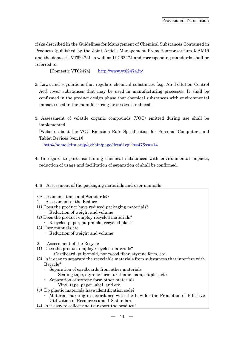risks described in the Guidelines for Management of Chemical Substances Contained in Products (published by the Joint Article Management Promotion-consortium (JAMP) and the domestic VT62474) as well as IEC62474 and corresponding standards shall be referred to.

[Domestic VT62474]: <http://www.vt62474.jp/>

- 2. Laws and regulations that regulate chemical substances (e.g. Air Pollution Control Act) cover substances that may be used in manufacturing processes. It shall be confirmed in the product design phase that chemical substances with environmental impacts used in the manufacturing processes is reduced.
- 3. Assessment of volatile organic compounds (VOC) emitted during use shall be implemented.

[Website about the VOC Emission Rate Specification for Personal Computers and Tablet Devices (ver.1)]

<http://home.jeita.or.jp/cgi-bin/page/detail.cgi?n=47&ca=14>

4. In regard to parts containing chemical substances with environmental impacts, reduction of usage and facilitation of separation of shall be confirmed.

# <span id="page-16-0"></span>4. 6 Assessment of the packaging materials and user manuals

- <Assessment Items and Standards>
- 1. Assessment of the Reduce
- (1) Does the product have reduced packaging materials?
	- · Reduction of weight and volume
- (2) Does the product employ recycled materials?
- · Recycled paper, pulp-mold, recycled plastic
- (3) User manuals etc.
	- · Reduction of weight and volume
- 2. Assessment of the Recycle
- (1) Does the product employ recycled materials?

Cardboard, pulp-mold, non-wood fiber, styrene form, etc.

- (2) Is it easy to separate the recyclable materials from substances that interfere with Recycle?
	- · Separation of cardboards from other materials
		- Sealing tape, styrene form, urethane foam, staples, etc.
	- · Separation of styrene form other materials Vinyl tape, paper label, and etc.
- (3) Do plastic materials have identification code?
	- · Material marking in accordance with the Law for the Promotion of Effective Utilization of Resources and JIS standard
- (4) Is it easy to collect and transport the product?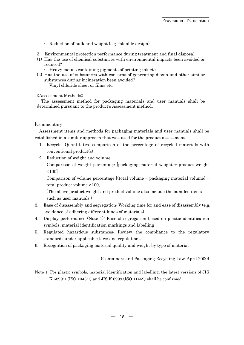- Reduction of bulk and weight (e.g. foldable design)
- 3. Environmental protection performance during treatment and final disposal
- (1) Has the use of chemical substances with environmental impacts been avoided or reduced?
	- · Heavy metals containing pigments of printing ink etc.
- (2) Has the use of substances with concerns of generating dioxin and other similar substances during incineration been avoided?
	- · Vinyl chloride sheet or films etc.

《Assessment Methods》

The assessment method for packaging materials and user manuals shall be determined pursuant to the product's Assessment method.

# [Commentary]

Assessment items and methods for packaging materials and user manuals shall be established in a similar approach that was used for the product assessment.

- 1. Recycle: Quantitative comparison of the percentage of recycled materials with conventional product(s)
- 2. Reduction of weight and volume:

Comparison of weight percentage [packaging material weight  $\div$  product weight ×100]

Comparison of volume percentage [(total volume – packaging material volume) ÷ total product volume ×100]

(The above product weight and product volume also include the bundled items such as user manuals.)

- 3. Ease of disassembly and segregation: Working time for and ease of disassembly (e.g. avoidance of adhering different kinds of materials)
- 4. Display performance (Note 1): Ease of segregation based on plastic identification symbols, material identification markings and labelling
- 5. Regulated hazardous substances: Review the compliance to the regulatory standards under applicable laws and regulations
- 6. Recognition of packaging material quality and weight by type of material

(Containers and Packaging Recycling Law, April 2000)

Note 1: For plastic symbols, material identification and labelling, the latest versions of JIS K 6899-1 (ISO 1043-1) and JIS K 6999 (ISO 11469) shall be confirmed.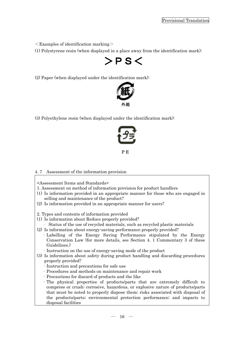$\leq$ Examples of identification marking $>$ 

(1) Polystyrene resin (when displayed in a place away from the identification mark):

 $>$ PS $<$ 

(2) Paper (when displayed under the identification mark):



(3) Polyethylene resin (when displayed under the identification mark):



PE

### <span id="page-18-0"></span>4. 7 Assessment of the information provision

<Assessment Items and Standards>

- 1. Assessment on method of information provision for product handlers
- (1) Is information provided in an appropriate manner for those who are engaged in selling and maintenance of the product?
- (2) Is information provided in an appropriate manner for users?

2. Types and contents of information provided

- (1) Is information about Reduce properly provided?
	- · Status of the use of recycled materials, such as recycled plastic materials
- (2) Is information about energy-saving performance properly provided?
	- ·Labelling of the Energy Saving Performance stipulated by the Energy Conservation Law (for more details, see Section 4. 1 Commentary 3 of these Guidelines.)
	- · Instruction on the use of energy-saving mode of the product
- (3) Is information about safety during product handling and discarding procedures properly provided?
	- · Instruction and precautions for safe use
	- ·Procedures and methods on maintenance and repair work
	- ·Precautions for discard of products and the like
	- ·The physical properties of products/parts that are extremely difficult to compress or crush; corrosive, hazardous, or explosive nature of products/parts that must be noted to properly dispose them; risks associated with disposal of the products/parts; environmental protection performance; and impacts to disposal facilities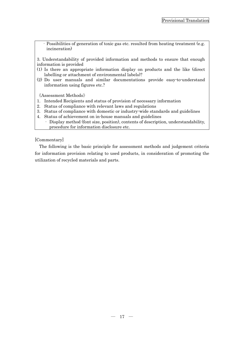·Possibilities of generation of toxic gas etc. resulted from heating treatment (e.g. incineration)

3. Understandability of provided information and methods to ensure that enough information is provided

- (1) Is there an appropriate information display on products and the like (direct labelling or attachment of environmental labels)?
- (2) Do user manuals and similar documentations provide easy-to-understand information using figures etc.?

《Assessment Methods》

- 1. Intended Recipients and status of provision of necessary information
- 2. Status of compliance with relevant laws and regulations
- 3. Status of compliance with domestic or industry-wide standards and guidelines
- 4. Status of achievement on in-house manuals and guidelines
	- · Display method (font size, position), contents of description, understandability, procedure for information disclosure etc.

# [Commentary]

The following is the basic principle for assessment methods and judgement criteria for information provision relating to used products, in consideration of promoting the utilization of recycled materials and parts.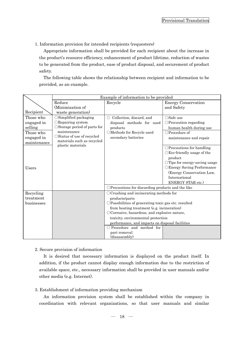1. Information provision for intended recipients (requesters)

Appropriate information shall be provided for each recipient about the increase in the product's resource efficiency, enhancement of product lifetime, reduction of wastes to be generated from the product, ease of product disposal, and securement of product safety.

The following table shows the relationship between recipient and information to be provided, as an example.

|                           | Example of information to be provided                     |                                                      |                                         |  |  |  |
|---------------------------|-----------------------------------------------------------|------------------------------------------------------|-----------------------------------------|--|--|--|
|                           | Reduce                                                    | Recycle                                              | <b>Energy Conservation</b>              |  |  |  |
|                           | (Minimization of                                          |                                                      | and Safety                              |  |  |  |
| Recipient                 | waste generation)                                         |                                                      |                                         |  |  |  |
| Those who                 | $\circ$ Simplified packaging                              | Collection, discard, and<br>$\bigcirc$               | $\bigcirc$ Safe use                     |  |  |  |
| engaged in                | ORepairing system                                         | disposal methods for used                            | $\bigcirc$ Precaution regarding         |  |  |  |
| selling                   | $\circ$ Storage period of parts for                       | products                                             | human health during use                 |  |  |  |
| Those who                 | maintenance                                               | $\bigcirc$ Methods for Recycle used                  | ○Procedure of                           |  |  |  |
| engaged in<br>maintenance | ○ Status of use of recycled<br>materials such as recycled | secondary batteries                                  | maintenance and repair                  |  |  |  |
|                           | plastic materials                                         |                                                      | OPrecautions for handling               |  |  |  |
|                           |                                                           |                                                      | $\bigcirc$ Eco-friendly usage of the    |  |  |  |
|                           |                                                           |                                                      | product                                 |  |  |  |
|                           |                                                           |                                                      | $\bigcirc$ Tips for energy-saving usage |  |  |  |
| Users                     |                                                           |                                                      | OEnergy Saving Performance              |  |  |  |
|                           |                                                           |                                                      | (Energy Conservation Law,               |  |  |  |
|                           |                                                           |                                                      | International                           |  |  |  |
|                           |                                                           |                                                      | ENERGY STAR etc.)                       |  |  |  |
|                           |                                                           | OPrecautions for discarding products and the like    |                                         |  |  |  |
| Recycling                 |                                                           | $\bigcirc$ Crushing and incinerating methods for     |                                         |  |  |  |
| treatment                 |                                                           | products/parts                                       |                                         |  |  |  |
| businesses                |                                                           | OPossibilities of generating toxic gas etc. resulted |                                         |  |  |  |
|                           |                                                           | from heating treatment (e.g. incineration)           |                                         |  |  |  |
|                           |                                                           | OCorrosive, hazardous, and explosive nature,         |                                         |  |  |  |
|                           |                                                           | toxicity, environmental protection                   |                                         |  |  |  |
|                           |                                                           | performance, and impacts on disposal facilities      |                                         |  |  |  |
|                           |                                                           | $\bigcirc$ Procedure and method for                  |                                         |  |  |  |
|                           |                                                           | part removal                                         |                                         |  |  |  |
|                           |                                                           | (disassembly)                                        |                                         |  |  |  |

# 2. Secure provision of information

It is desired that necessary information is displayed on the product itself. In addition, if the product cannot display enough information due to the restriction of available space, etc., necessary information shall be provided in user manuals and/or other media (e.g. Internet).

# 3. Establishment of information providing mechanism

An information provision system shall be established within the company in coordination with relevant organizations, so that user manuals and similar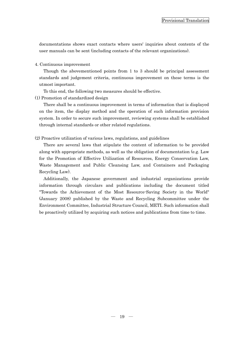documentations shows exact contacts where users' inquiries about contents of the user manuals can be sent (including contacts of the relevant organizations).

4. Continuous improvement

Though the abovementioned points from 1 to 3 should be principal assessment standards and judgement criteria, continuous improvement on these terms is the utmost important.

To this end, the following two measures should be effective.

(1) Promotion of standardized design

There shall be a continuous improvement in terms of information that is displayed on the item, the display method and the operation of such information provision system. In order to secure such improvement, reviewing systems shall be established through internal standards or other related regulations.

(2) Proactive utilization of various laws, regulations, and guidelines

There are several laws that stipulate the content of information to be provided along with appropriate methods, as well as the obligation of documentation (e.g. Law for the Promotion of Effective Utilization of Resources, Energy Conservation Law, Waste Management and Public Cleansing Law, and Containers and Packaging Recycling Law).

Additionally, the Japanese government and industrial organizations provide information through circulars and publications including the document titled "Towards the Achievement of the Most Resource-Saving Society in the World" (January 2008) published by the Waste and Recycling Subcommittee under the Environment Committee, Industrial Structure Council, METI. Such information shall be proactively utilized by acquiring such notices and publications from time to time.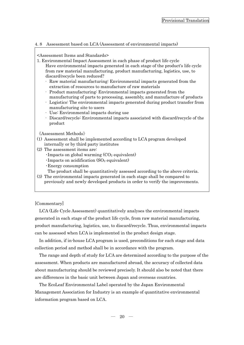### <span id="page-22-0"></span>4. 8 Assessment based on LCA (Assessment of environmental impacts)

#### <Assessment Items and Standards>

- 1. Environmental Impact Assessment in each phase of product life cycle Have environmental impacts generated in each stage of the product's life cycle from raw material manufacturing, product manufacturing, logistics, use, to discard/recycle been reduced?
	- · Raw material manufacturing: Environmental impacts generated from the extraction of resources to manufacture of raw materials
	- Product manufacturing: Environmental impacts generated from the manufacturing of parts to processing, assembly, and manufacture of products
	- · Logistics: The environmental impacts generated during product transfer from manufacturing site to users
	- · Use: Environmental impacts during use
	- Discard/recycle: Environmental impacts associated with discard/recycle of the product

《Assessment Methods》

- (1) Assessment shall be implemented according to LCA program developed internally or by third party institutes
- (2) The assessment items are:
	- $\cdot$ Impacts on global warming  $(CO<sub>2</sub>$  equivalent)
	- $\cdot$ Impacts on acidification (SO<sub>2</sub> equivalent)
	- ・Energy consumption
	- The product shall be quantitatively assessed according to the above criteria.
- (3) The environmental impacts generated in each stage shall be compared to previously and newly developed products in order to verify the improvements.

[Commentary]

LCA (Life Cycle Assessment) quantitatively analyses the environmental impacts generated in each stage of the product life cycle, from raw material manufacturing, product manufacturing, logistics, use, to discard/recycle. Thus, environmental impacts can be assessed when LCA is implemented in the product design stage.

In addition, if in-house LCA program is used, preconditions for each stage and data collection period and method shall be in accordance with the program.

The range and depth of study for LCA are determined according to the purpose of the assessment. When products are manufactured abroad, the accuracy of collected data about manufacturing should be reviewed precisely. It should also be noted that there are differences in the basic unit between Japan and overseas countries.

The EcoLeaf Environmental Label operated by the Japan Environmental Management Association for Industry is an example of quantitative environmental information program based on LCA.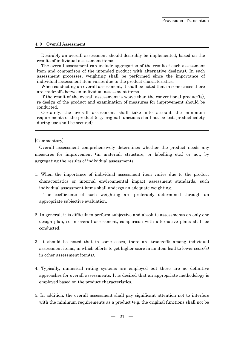# <span id="page-23-0"></span>4. 9 Overall Assessment

Desirably an overall assessment should desirably be implemented, based on the results of individual assessment items.

The overall assessment can include aggregation of the result of each assessment item and comparison of the intended product with alternative design(s). In such assessment processes, weighting shall be performed since the importance of individual assessment item varies due to the product characteristics.

When conducting an overall assessment, it shall be noted that in some cases there are trade-offs between individual assessment items.

If the result of the overall assessment is worse than the conventional product'(s), re-design of the product and examination of measures for improvement should be conducted.

Certainly, the overall assessment shall take into account the minimum requirements of the product (e.g. original functions shall not be lost, product safety during use shall be secured).

# [Commentary]

Overall assessment comprehensively determines whether the product needs any measures for improvement (in material, structure, or labelling etc.) or not, by aggregating the results of individual assessments.

1. When the importance of individual assessment item varies due to the product characteristics or internal environmental impact assessment standards, such individual assessment items shall undergo an adequate weighting.

The coefficients of such weighting are preferably determined through an appropriate subjective evaluation.

- 2. In general, it is difficult to perform subjective and absolute assessments on only one design plan, so in overall assessment, comparison with alternative plans shall be conducted.
- 3. It should be noted that in some cases, there are trade-offs among individual assessment items, in which efforts to get higher score in an item lead to lower score(s) in other assessment item(s).
- 4. Typically, numerical rating systems are employed but there are no definitive approaches for overall assessments. It is desired that an appropriate methodology is employed based on the product characteristics.
- 5. In addition, the overall assessment shall pay significant attention not to interfere with the minimum requirements as a product (e.g. the original functions shall not be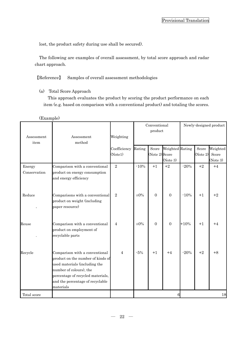lost, the product safety during use shall be secured).

The following are examples of overall assessment, by total score approach and radar chart approach.

【Reference】 Samples of overall assessment methodologies

(a) Total Score Approach

This approach evaluates the product by scoring the product performance on each item (e.g. based on comparison with a conventional product) and totaling the scores.

| Assessment<br>item     | Assessment<br>method                                                                                                                                                                                                  | Weighting                | Conventional<br>product |                         |                             | Newly-designed product |                   |                               |  |
|------------------------|-----------------------------------------------------------------------------------------------------------------------------------------------------------------------------------------------------------------------|--------------------------|-------------------------|-------------------------|-----------------------------|------------------------|-------------------|-------------------------------|--|
|                        |                                                                                                                                                                                                                       | Coefficiency<br>(Note 1) | Rating                  | Score<br>(Note 2) Score | Weighted Rating<br>(Note 3) |                        | Score<br>(Note 2) | Weighted<br>Score<br>(Note 3) |  |
| Energy<br>Conservation | Comparison with a conventional<br>product on energy consumption<br>and energy efficiency                                                                                                                              | $\sqrt{2}$               | $-10%$                  | $+1$                    | $+2$                        | $-20%$                 | $+2$              | $+4$                          |  |
| Reduce                 | Comparisons with a conventional<br>product on weight (including<br>paper resource)                                                                                                                                    | $\overline{2}$           | $\pm 0\%$               | $\overline{0}$          | $\overline{0}$              | $-10%$                 | $+1$              | $+2$                          |  |
| Reuse                  | Comparison with a conventional<br>product on employment of<br>recyclable parts                                                                                                                                        | $\overline{4}$           | $\pm 0\%$               | $\mathbf{0}$            | $\mathbf{0}$                | $+10%$                 | $+1$              | $+4$                          |  |
| Recycle                | Comparison with a conventional<br>product on the number of kinds of<br>used materials (including the<br>number of colours), the<br>percentage of recycled materials,<br>and the percentage of recyclable<br>materials | $\overline{4}$           | $-5%$                   | $+1$                    | $+4$                        | $-20%$                 | $+2$              | $+8$                          |  |
| Total score            |                                                                                                                                                                                                                       |                          |                         |                         |                             |                        |                   | 18                            |  |

(Example)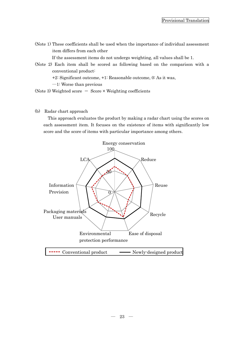(Note 1) These coefficients shall be used when the importance of individual assessment item differs from each other

If the assessment items do not undergo weighting, all values shall be 1.

(Note 2) Each item shall be scored as following based on the comparison with a conventional product:

+2: Significant outcome, +1: Reasonable outcome, 0: As it was,

―1: Worse than previous

(Note 3) Weighted score  $=$  Score  $\times$  Weighting coefficients

(b) Radar chart approach

This approach evaluates the product by making a radar chart using the scores on each assessment item. It focuses on the existence of items with significantly low score and the score of items with particular importance among others.

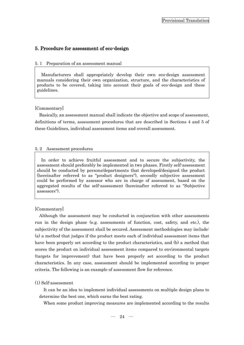# <span id="page-26-0"></span>5. Procedure for assessment of eco-design

#### <span id="page-26-1"></span>5. 1 Preparation of an assessment manual

Manufacturers shall appropriately develop their own eco-design assessment manuals considering their own organization, structure, and the characteristics of products to be covered, taking into account their goals of eco-design and these guidelines.

#### [Commentary]

Basically, an assessment manual shall indicate the objective and scope of assessment, definitions of terms, assessment procedures that are described in Sections 4 and 5 of these Guidelines, individual assessment items and overall assessment.

#### <span id="page-26-2"></span>5. 2 Assessment procedures

In order to achieve fruitful assessment and to secure the subjectivity, the assessment should preferably be implemented in two phases. Firstly self-assessment should be conducted by persons/departments that developed/designed the product (hereinafter referred to as "product designers"), secondly subjective assessment could be performed by assessor who are in charge of assessment, based on the aggregated results of the self-assessment (hereinafter referred to as "Subjective assessors").

### [Commentary]

Although the assessment may be conducted in conjunction with other assessments run in the design phase (e.g. assessments of function, cost, safety, and etc.), the subjectivity of the assessment shall be secured. Assessment methodologies may include: (a) a method that judges if the product meets each of individual assessment items that have been properly set according to the product characteristics, and (b) a method that scores the product on individual assessment items compared to environmental targets (targets for improvement) that have been properly set according to the product characteristics. In any case, assessment should be implemented according to proper criteria. The following is an example of assessment flow for reference.

#### (1) Self-assessment

It can be an idea to implement individual assessments on multiple design plans to determine the best one, which earns the best rating.

When some product improving measures are implemented according to the results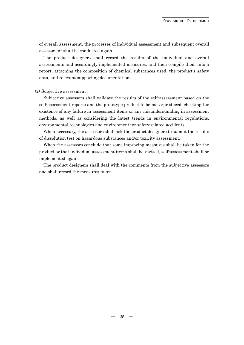of overall assessment, the processes of individual assessment and subsequent overall assessment shall be conducted again.

The product designers shall record the results of the individual and overall assessments and accordingly-implemented measures, and then compile them into a report, attaching the composition of chemical substances used, the product's safety data, and relevant supporting documentations.

#### (2) Subjective assessment

Subjective assessors shall validate the results of the self-assessment based on the self-assessment reports and the prototype product to be mass-produced, checking the existence of any failure in assessment items or any misunderstanding in assessment methods, as well as considering the latest trends in environmental regulations, environmental technologies and environment- or safety-related accidents.

When necessary, the assessors shall ask the product designers to submit the results of dissolution test on hazardous substances and/or toxicity assessment.

When the assessors conclude that some improving measures shall be taken for the product or that individual assessment items shall be revised, self-assessment shall be implemented again.

The product designers shall deal with the comments from the subjective assessors and shall record the measures taken.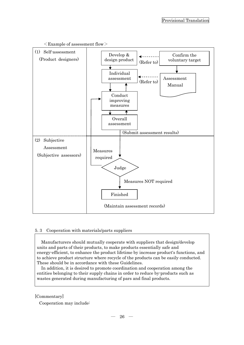

# $\leq$ Example of assessment flow $>$

# <span id="page-28-0"></span>5. 3 Cooperation with materials/parts suppliers

Manufacturers should mutually cooperate with suppliers that design/develop units and parts of their products, to make products essentially safe and energy-efficient, to enhance the product lifetime by increase product's functions, and to achieve product structure where recycle of the products can be easily conducted. These should be in accordance with these Guidelines.

In addition, it is desired to promote coordination and cooperation among the entities belonging to their supply chains in order to reduce by-products such as wastes generated during manufacturing of pars and final products.

# [Commentary]

Cooperation may include: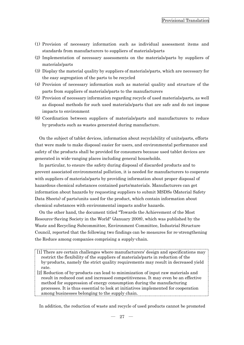- (1) Provision of necessary information such as individual assessment items and standards from manufacturers to suppliers of materials/parts
- (2) Implementation of necessary assessments on the materials/parts by suppliers of materials/parts
- (3) Display the material quality by suppliers of materials/parts, which are necessary for the easy segregation of the parts to be recycled
- (4) Provision of necessary information such as material quality and structure of the parts from suppliers of materials/parts to the manufacturers
- (5) Provision of necessary information regarding recycle of used materials/parts, as well as disposal methods for such used materials/parts that are safe and do not impose impacts to environment
- (6) Coordination between suppliers of materials/parts and manufacturers to reduce by-products such as wastes generated during manufacture.

On the subject of tablet devices, information about recyclability of units/parts, efforts that were made to make disposal easier for users, and environmental performance and safety of the products shall be provided for consumers because used tablet devices are generated in wide-ranging places including general households.

In particular, to ensure the safety during disposal of discarded products and to prevent associated environmental pollution, it is needed for manufacturers to cooperate with suppliers of materials/parts by providing information about proper disposal of hazardous chemical substances contained parts/materials. Manufacturers can get information about hazards by requesting suppliers to submit MSDSs (Material Safety Data Sheets) of parts/units used for the product, which contain information about chemical substances with environmental impacts and/or hazards.

On the other hand, the document titled "Towards the Achievement of the Most Resource-Saving Society in the World" (January 2008), which was published by the Waste and Recycling Subcommittee, Environment Committee, Industrial Structure Council, reported that the following two findings can be measures for re-strengthening the Reduce among companies comprising a supply-chain.

- [1] There are certain challenges where manufacturers' design and specifications may restrict the flexibility of the suppliers of materials/parts in reduction of the by-products, namely the strict quality requirements may result in decreased yield rate.
- [2] Reduction of by-products can lead to minimization of input raw materials and result in reduced cost and increased competitiveness. It may even be an effective method for suppression of energy consumption during the manufacturing processes. It is thus essential to look at initiatives implemented for cooperation among businesses belonging to the supply chain.

In addition, the reduction of waste and recycle of used products cannot be promoted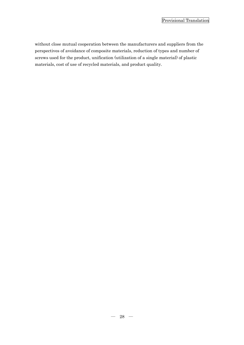without close mutual cooperation between the manufacturers and suppliers from the perspectives of avoidance of composite materials, reduction of types and number of screws used for the product, unification (utilization of a single material) of plastic materials, cost of use of recycled materials, and product quality.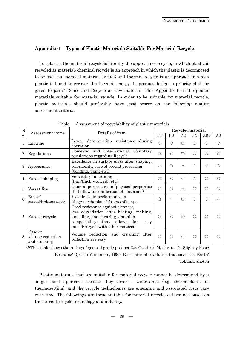# <span id="page-31-0"></span>Appendix-1 Types of Plastic Materials Suitable For Material Recycle

For plastic, the material recycle is literally the approach of recycle, in which plastic is recycled as material; chemical recycle is an approach in which the plastic is decomposed to be used as chemical material or fuel; and thermal recycle is an approach in which plastic is burnt to recover the thermal energy. In product design, a priority shall be given to parts' Reuse and Recycle as raw material. This Appendix lists the plastic materials suitable for material recycle. In order to be suitable for material recycle, plastic materials should preferably have good scores on the following quality assessment criteria.

| N              |                                             |                                                                                                                                                                                                  | Recycled material |                 |                |                 |                 |                |  |
|----------------|---------------------------------------------|--------------------------------------------------------------------------------------------------------------------------------------------------------------------------------------------------|-------------------|-----------------|----------------|-----------------|-----------------|----------------|--|
| $\Omega$       | Assessment items                            | Details of item                                                                                                                                                                                  |                   | PS              | PE             | PC              | <b>ABS</b>      | AS             |  |
| $\mathbf{1}$   | Lifetime                                    | deterioration resistance<br>Lower<br>during<br>operation                                                                                                                                         | $\Box$            | . )             | ∩              | ( )             | ()              | 0              |  |
| $\overline{2}$ | Regulations                                 | and international voluntary<br>Domestic<br>regulations regarding Recycle                                                                                                                         | $\circledcirc$    | $\circledcirc$  | $\circledcirc$ | $\circledcirc$  | $\circledcirc$  | ⊚              |  |
| 3              | Appearance                                  | Excellence in surface gloss after shaping,<br>colorability, ease of second processing<br>(bonding, paint etc.)                                                                                   | Λ                 | ∩               | Δ              | ∩               | $\circledcirc$  |                |  |
| 4              | Ease of shaping                             | Versatility in forming<br>(thin/thick-wall, rib, etc.)                                                                                                                                           | . .               | $\circledcirc$  | ∩              | Λ               | $\circledcirc$  | $\circledcirc$ |  |
| 5              | Versatility                                 | General purpose resin (physical properties<br>that allow for unification of materials)                                                                                                           | 〔 〕               | $\left(\right)$ | $\wedge$       | ∩               | $\left(\right)$ | 0              |  |
| 6              | Ease of<br>assembly/disassembly             | Excellence in performance in<br>hinge mechanism / fitness of snaps                                                                                                                               | $\circledcirc$    | $\wedge$        | ∩              | $\left(\right)$ | $\left(\right)$ | Λ              |  |
| 7              | Ease of recycle                             | Good resistance against cleanser,<br>less degradation after heating, melting,<br>kneading, and shearing, and high<br>compatibility that allows for<br>easy<br>mixed-recycle with other materials | $\circledcirc$    | $\circledcirc$  | $\circledcirc$ | O               |                 |                |  |
| 8              | Ease of<br>volume reduction<br>and crushing | Volume reduction and crushing<br>after<br>collection are easy                                                                                                                                    | ∩                 | ∩               | ∩              | ∩               | О               |                |  |

Table Assessment of recyclability of plastic materials

 $\mathcal{X}$ This table shows the rating of general grade product ( $\odot$ : Good  $\odot$ : Moderate  $\triangle$ : Slightly Poor) Resource: Ryoichi Yamamoto, 1995. Eco-material revolution that saves the Earth: Tokuma Shoten

Plastic materials that are suitable for material recycle cannot be determined by a single fixed approach because they cover a wide-range (e.g. thermoplastic or thermosetting), and the recycle technologies are emerging and associated costs vary with time. The followings are those suitable for material recycle, determined based on the current recycle technology and industry.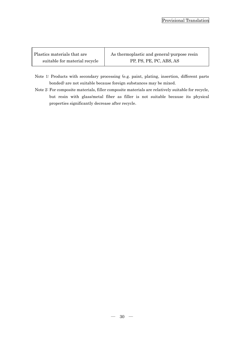| Plastics materials that are   | As thermoplastic and general-purpose resin |  |  |  |
|-------------------------------|--------------------------------------------|--|--|--|
| suitable for material recycle | PP, PS, PE, PC, ABS, AS                    |  |  |  |

т

Г

- Note 1: Products with secondary processing (e.g. paint, plating, insertion, different parts bonded) are not suitable because foreign substances may be mixed.
- Note 2: For composite materials, filler composite materials are relatively suitable for recycle, but resin with glass/metal fiber as filler is not suitable because its physical properties significantly decrease after recycle.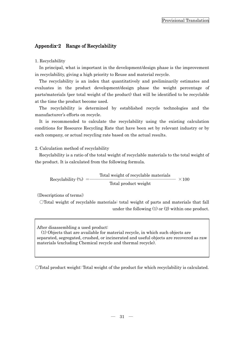# <span id="page-33-0"></span>Appendix-2 Range of Recyclability

# 1. Recyclability

In principal, what is important in the development/design phase is the improvement in recyclability, giving a high priority to Reuse and material recycle.

The recyclability is an index that quantitatively and preliminarily estimates and evaluates in the product development/design phase the weight percentage of parts/materials (per total weight of the product) that will be identified to be recyclable at the time the product become used.

The recyclability is determined by established recycle technologies and the manufacturer's efforts on recycle.

It is recommended to calculate the recyclability using the existing calculation conditions for Resource Recycling Rate that have been set by relevant industry or by each company, or actual recycling rate based on the actual results.

# 2. Calculation method of recyclability

Recyclability is a ratio of the total weight of recyclable materials to the total weight of the product. It is calculated from the following formula.

Recyclability (%) =―――――――――――――――――――― ×100 Total product weight Total weight of recyclable materials

《Descriptions of terms》

○Total weight of recyclable materials: total weight of parts and materials that fall under the following (1) or (2) within one product.

After disassembling a used product:

(1) Objects that are available for material recycle, in which such objects are separated, segregated, crushed, or incinerated and useful objects are recovered as raw materials (excluding Chemical recycle and thermal recycle).

○Total product weight: Total weight of the product for which recyclability is calculated.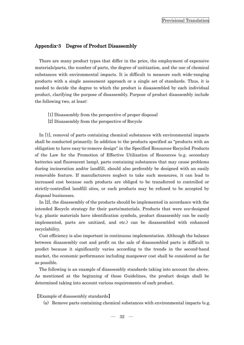# <span id="page-34-0"></span>Appendix-3 Degree of Product Disassembly

There are many product types that differ in the price, the employment of expensive materials/parts, the number of parts, the degree of unitization, and the use of chemical substances with environmental impacts. It is difficult to measure such wide-ranging products with a single assessment approach or a single set of standards. Thus, it is needed to decide the degree to which the product is disassembled by each individual product, clarifying the purpose of disassembly. Purpose of product disassembly include the following two, at least:

- [1] Disassembly from the perspective of proper disposal
- [2] Disassembly from the perspective of Recycle

In [1], removal of parts containing chemical substances with environmental impacts shall be conducted primarily. In addition to the products specified as "products with an obligation to have easy-to-remove design" in the Specified Resources-Recycled Products of the Law for the Promotion of Effective Utilization of Resources (e.g. secondary batteries and fluorescent lamp), parts containing substances that may cause problems during incineration and/or landfill, should also preferably be designed with an easily removable feature. If manufacturers neglect to take such measures, it can lead to increased cost because such products are obliged to be transferred to controlled or strictly-controlled landfill sites, or such products may be refused to be accepted by disposal businesses.

In [2], the disassembly of the products should be implemented in accordance with the intended Recycle strategy for their parts/materials. Products that were eco-designed (e.g. plastic materials have identification symbols, product disassembly can be easily implemented, parts are unitized, and etc.) can be disassembled with enhanced recyclability.

Cost efficiency is also important in continuous implementation. Although the balance between disassembly cost and profit on the sale of disassembled parts is difficult to predict because it significantly varies according to the trends in the second-hand market, the economic performance including manpower cost shall be considered as far as possible.

The following is an example of disassembly standards taking into account the above. As mentioned at the beginning of these Guidelines, the product design shall be determined taking into account various requirements of each product.

【Example of disassembly standards】

(a) Remove parts containing chemical substances with environmental impacts (e.g.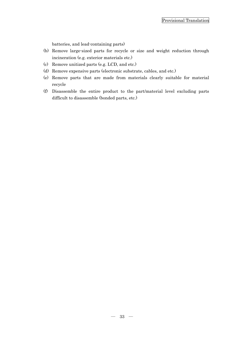batteries, and lead-containing parts)

- (b) Remove large-sized parts for recycle or size and weight reduction through incineration (e.g. exterior materials etc.)
- (c) Remove unitized parts (e.g. LCD, and etc.)
- (d) Remove expensive parts (electronic substrate, cables, and etc.)
- (e) Remove parts that are made from materials clearly suitable for material recycle
- (f) Disassemble the entire product to the part/material level excluding parts difficult to disassemble (bonded parts, etc.)